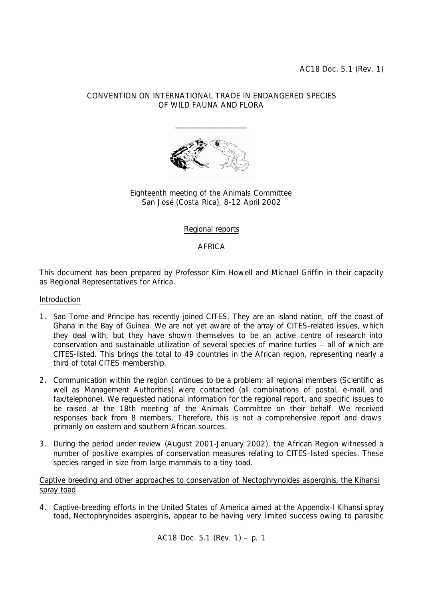AC18 Doc. 5.1 (Rev. 1)

# CONVENTION ON INTERNATIONAL TRADE IN ENDANGERED SPECIES OF WILD FAUNA AND FLORA



Eighteenth meeting of the Animals Committee San José (Costa Rica), 8-12 April 2002

## Regional reports

# **AFRICA**

This document has been prepared by Professor Kim Howell and Michael Griffin in their capacity as Regional Representatives for Africa.

#### Introduction

- 1. Sao Tome and Principe has recently joined CITES. They are an island nation, off the coast of Ghana in the Bay of Guinea. We are not yet aware of the array of CITES-related issues, which they deal with, but they have shown themselves to be an active centre of research into conservation and sustainable utilization of several species of marine turtles – all of which are CITES-listed. This brings the total to 49 countries in the African region, representing nearly a third of total CITES membership.
- 2. Communication within the region continues to be a problem: all regional members (Scientific as well as Management Authorities) were contacted (all combinations of postal, e-mail, and fax/telephone). We requested national information for the regional report, and specific issues to be raised at the 18th meeting of the Animals Committee on their behalf. We received responses back from 8 members. Therefore, this is not a comprehensive report and draws primarily on eastern and southern African sources.
- 3. During the period under review (August 2001-January 2002), the African Region witnessed a number of positive examples of conservation measures relating to CITES-listed species. These species ranged in size from large mammals to a tiny toad.

## Captive breeding and other approaches to conservation of *Nectophrynoides asperginis*, the Kihansi spray toad

4. Captive-breeding efforts in the United States of America aimed at the Appendix-I Kihansi spray toad, *Nectophrynoides asperginis*, appear to be having very limited success owing to parasitic

AC18 Doc. 5.1 (Rev. 1) – p. 1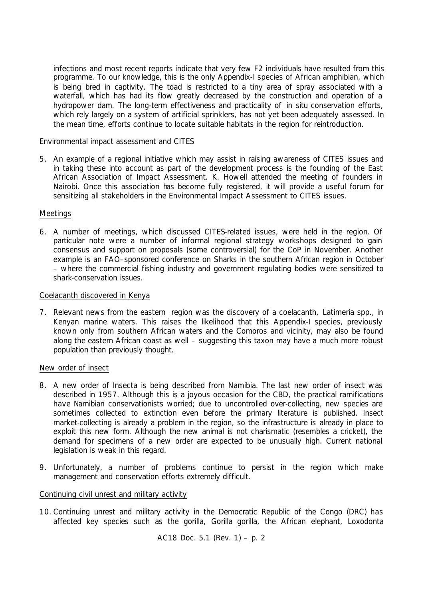infections and most recent reports indicate that very few F2 individuals have resulted from this programme. To our knowledge, this is the only Appendix-I species of African amphibian, which is being bred in captivity. The toad is restricted to a tiny area of spray associated with a waterfall, which has had its flow greatly decreased by the construction and operation of a hydropower dam. The long-term effectiveness and practicality of *in situ* conservation efforts, which rely largely on a system of artificial sprinklers, has not yet been adequately assessed. In the mean time, efforts continue to locate suitable habitats in the region for reintroduction.

Environmental impact assessment and CITES

5. An example of a regional initiative which may assist in raising awareness of CITES issues and in taking these into account as part of the development process is the founding of the East African Association of Impact Assessment. K. Howell attended the meeting of founders in Nairobi. Once this association has become fully registered, it will provide a useful forum for sensitizing all stakeholders in the Environmental Impact Assessment to CITES issues.

## **Meetings**

6. A number of meetings, which discussed CITES-related issues, were held in the region. Of particular note were a number of informal regional strategy workshops designed to gain consensus and support on proposals (some controversial) for the CoP in November. Another example is an FAO–sponsored conference on Sharks in the southern African region in October – where the commercial fishing industry and government regulating bodies were sensitized to shark-conservation issues.

#### Coelacanth discovered in Kenya

7. Relevant news from the eastern region was the discovery of a coelacanth, *Latimeria* spp., in Kenyan marine waters. This raises the likelihood that this Appendix-I species, previously known only from southern African waters and the Comoros and vicinity, may also be found along the eastern African coast as well – suggesting this taxon may have a much more robust population than previously thought.

## New order of insect

- 8. A new order of Insecta is being described from Namibia. The last new order of insect was described in 1957. Although this is a joyous occasion for the CBD, the practical ramifications have Namibian conservationists worried; due to uncontrolled over-collecting, new species are sometimes collected to extinction even before the primary literature is published. Insect market-collecting is already a problem in the region, so the infrastructure is already in place to exploit this new form. Although the new animal is not charismatic (resembles a cricket), the demand for specimens of a new order are expected to be unusually high. Current national legislation is weak in this regard.
- 9. Unfortunately, a number of problems continue to persist in the region which make management and conservation efforts extremely difficult.

## Continuing civil unrest and military activity

10. Continuing unrest and military activity in the Democratic Republic of the Congo (DRC) has affected key species such as the gorilla, *Gorilla gorilla*, the African elephant, *Loxodonta* 

AC18 Doc. 5.1 (Rev. 1) – p. 2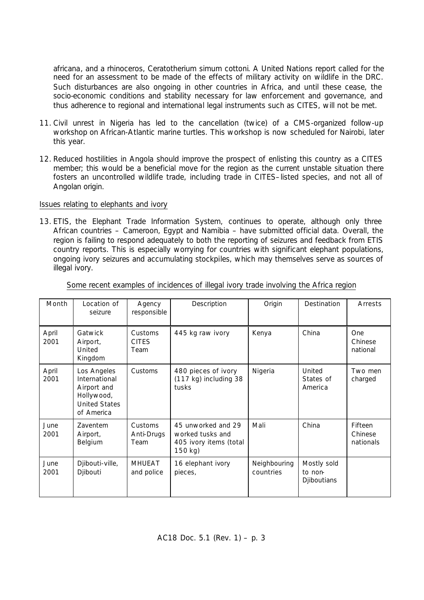*africana*, and a rhinoceros, *Ceratotherium simum cottoni*. A United Nations report called for the need for an assessment to be made of the effects of military activity on wildlife in the DRC. Such disturbances are also ongoing in other countries in Africa, and until these cease, the socio-economic conditions and stability necessary for law enforcement and governance, and thus adherence to regional and international legal instruments such as CITES, will not be met.

- 11. Civil unrest in Nigeria has led to the cancellation (twice) of a CMS-organized follow-up workshop on African-Atlantic marine turtles. This workshop is now scheduled for Nairobi, later this year.
- 12. Reduced hostilities in Angola should improve the prospect of enlisting this country as a CITES member; this would be a beneficial move for the region as the current unstable situation there fosters an uncontrolled wildlife trade, including trade in CITES–listed species, and not all of Angolan origin.

#### Issues relating to elephants and ivory

13. ETIS, the Elephant Trade Information System, continues to operate, although only three African countries – Cameroon, Egypt and Namibia – have submitted official data. Overall, the region is failing to respond adequately to both the reporting of seizures and feedback from ETIS country reports. This is especially worrying for countries with significant elephant populations, ongoing ivory seizures and accumulating stockpiles, which may themselves serve as sources of illegal ivory.

| Month         | Location of<br>seizure                                                                          | Agency<br>responsible           | Description                                                                 | Origin                    | Destination                                  | Arrests                         |
|---------------|-------------------------------------------------------------------------------------------------|---------------------------------|-----------------------------------------------------------------------------|---------------------------|----------------------------------------------|---------------------------------|
| April<br>2001 | Gatwick<br>Airport,<br>United<br>Kingdom                                                        | Customs<br><b>CITES</b><br>Team | 445 kg raw ivory                                                            | Kenya                     | China                                        | One<br>Chinese<br>national      |
| April<br>2001 | Los Angeles<br>International<br>Airport and<br>Hollywood,<br><b>United States</b><br>of America | Customs                         | 480 pieces of ivory<br>(117 kg) including 38<br>tusks                       | Nigeria                   | United<br>States of<br>America               | Two men<br>charged              |
| June<br>2001  | <b>Zaventem</b><br>Airport,<br>Belgium                                                          | Customs<br>Anti-Drugs<br>Team   | 45 unworked and 29<br>worked tusks and<br>405 ivory items (total<br>150 kg) | Mali                      | China                                        | Fifteen<br>Chinese<br>nationals |
| June<br>2001  | Djibouti-ville,<br>Djibouti                                                                     | <b>MHUEAT</b><br>and police     | 16 elephant ivory<br>pieces,                                                | Neighbouring<br>countries | Mostly sold<br>to non-<br><b>Djiboutians</b> |                                 |

Some recent examples of incidences of illegal ivory trade involving the Africa region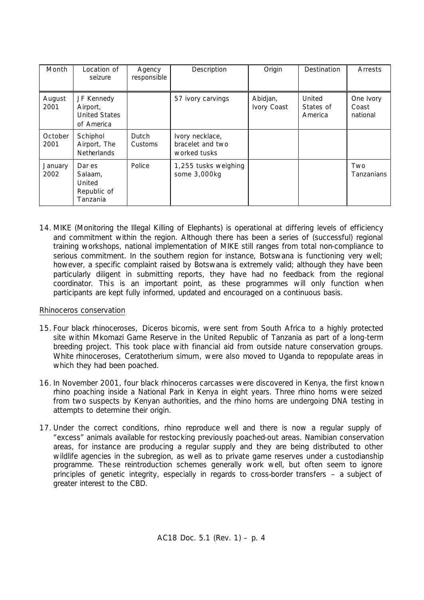| Month           | Location of<br>seizure                                       | Agency<br>responsible | Description                                         | Origin                  | Destination                    | Arrests                        |
|-----------------|--------------------------------------------------------------|-----------------------|-----------------------------------------------------|-------------------------|--------------------------------|--------------------------------|
| August<br>2001  | JF Kennedy<br>Airport,<br><b>United States</b><br>of America |                       | 57 ivory carvings                                   | Abidjan,<br>Ivory Coast | United<br>States of<br>America | One Ivory<br>Coast<br>national |
| October<br>2001 | Schiphol<br>Airport, The<br><b>Netherlands</b>               | Dutch<br>Customs      | Ivory necklace,<br>bracelet and two<br>worked tusks |                         |                                |                                |
| January<br>2002 | Dar es<br>Salaam,<br>United<br>Republic of<br>Tanzania       | Police                | 1,255 tusks weighing<br>some 3,000kg                |                         |                                | Two<br>Tanzanians              |

14. MIKE (Monitoring the Illegal Killing of Elephants) is operational at differing levels of efficiency and commitment within the region. Although there has been a series of (successful) regional training workshops, national implementation of MIKE still ranges from total non-compliance to serious commitment. In the southern region for instance, Botswana is functioning very well; however, a specific complaint raised by Botswana is extremely valid; although they have been particularly diligent in submitting reports, they have had no feedback from the regional coordinator. This is an important point, as these programmes will only function when participants are kept fully informed, updated and encouraged on a continuous basis.

## Rhinoceros conservation

- 15. Four black rhinoceroses, *Diceros bicornis*, were sent from South Africa to a highly protected site within Mkomazi Game Reserve in the United Republic of Tanzania as part of a long-term breeding project. This took place with financial aid from outside nature conservation groups. White rhinoceroses, *Ceratotherium simum*, were also moved to Uganda to repopulate areas in which they had been poached.
- 16. In November 2001, four black rhinoceros carcasses were discovered in Kenya, the first known rhino poaching inside a National Park in Kenya in eight years. Three rhino horns were seized from two suspects by Kenyan authorities, and the rhino horns are undergoing DNA testing in attempts to determine their origin.
- 17. Under the correct conditions, rhino reproduce well and there is now a regular supply of "excess" animals available for restocking previously poached-out areas. Namibian conservation areas, for instance are producing a regular supply and they are being distributed to other wildlife agencies in the subregion, as well as to private game reserves under a custodianship programme. The se reintroduction schemes generally work well, but often seem to ignore principles of genetic integrity, especially in regards to cross-border transfers – a subject of greater interest to the CBD.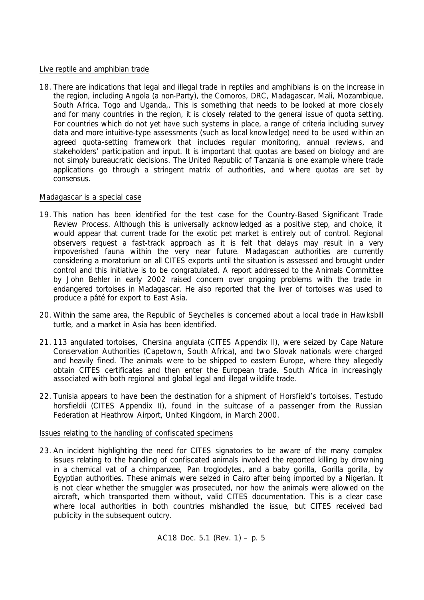## Live reptile and amphibian trade

18. There are indications that legal and illegal trade in reptiles and amphibians is on the increase in the region, including Angola (a non-Party), the Comoros, DRC, Madagascar, Mali, Mozambique, South Africa, Togo and Uganda,. This is something that needs to be looked at more closely and for many countries in the region, it is closely related to the general issue of quota setting. For countries which do not yet have such systems in place, a range of criteria including survey data and more intuitive-type assessments (such as local knowledge) need to be used within an agreed quota-setting framework that includes regular monitoring, annual reviews, and stakeholders' participation and input. It is important that quotas are based on biology and are not simply bureaucratic decisions. The United Republic of Tanzania is one example where trade applications go through a stringent matrix of authorities, and where quotas are set by consensus.

## Madagascar is a special case

- 19. This nation has been identified for the test case for the Country-Based Significant Trade Review Process. Although this is universally acknowledged as a positive step, and choice, it would appear that current trade for the exotic pet market is entirely out of control. Regional observers request a fast-track approach as it is felt that delays may result in a very impoverished fauna within the very near future. Madagascan authorities are currently considering a moratorium on all CITES exports until the situation is assessed and brought under control and this initiative is to be congratulated. A report addressed to the Animals Committee by John Behler in early 2002 raised concern over ongoing problems with the trade in endangered tortoises in Madagascar. He also reported that the liver of tortoises was used to produce a pâté for export to East Asia.
- 20. Within the same area, the Republic of Seychelles is concerned about a local trade in Hawksbill turtle, and a market in Asia has been identified.
- 21. 113 angulated tortoises, *Chersina angulata* (CITES Appendix II), were seized by Cape Nature Conservation Authorities (Capetown, South Africa), and two Slovak nationals were charged and heavily fined. The animals were to be shipped to eastern Europe, where they allegedly obtain CITES certificates and then enter the European trade. South Africa in increasingly associated with both regional and global legal and illegal wildlife trade.
- 22. Tunisia appears to have been the destination for a shipment of Horsfield's tortoises, *Testudo horsfieldii* (CITES Appendix II), found in the suitcase of a passenger from the Russian Federation at Heathrow Airport, United Kingdom, in March 2000.

## Issues relating to the handling of confiscated specimens

23. An incident highlighting the need for CITES signatories to be aware of the many complex issues relating to the handling of confiscated animals involved the reported killing by drowning in a chemical vat of a chimpanzee, *Pan troglodytes*, and a baby gorilla, *Gorilla gorilla*, by Egyptian authorities. These animals were seized in Cairo after being imported by a Nigerian. It is not clear whether the smuggler was prosecuted, nor how the animals were allowed on the aircraft, which transported them without, valid CITES documentation. This is a clear case where local authorities in both countries mishandled the issue, but CITES received bad publicity in the subsequent outcry.